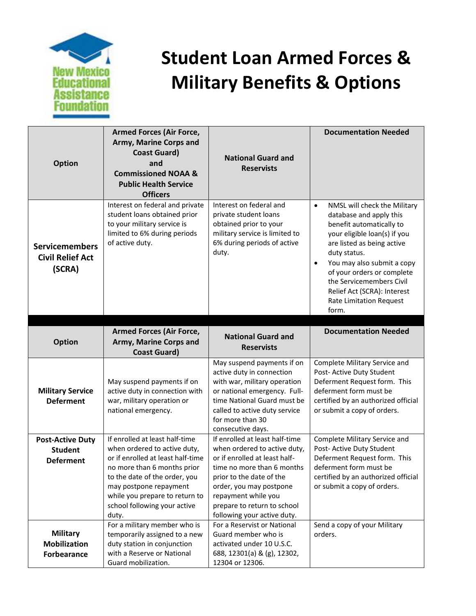

## **Student Loan Armed Forces & Military Benefits & Options**

| <b>Option</b>                                                 | <b>Armed Forces (Air Force,</b><br>Army, Marine Corps and<br><b>Coast Guard)</b><br>and<br><b>Commissioned NOAA &amp;</b>                                                                                                                                                | <b>National Guard and</b><br><b>Reservists</b>                                                                                                                                                                                                                            | <b>Documentation Needed</b>                                                                                                                                                                                                                                                                                                                                   |
|---------------------------------------------------------------|--------------------------------------------------------------------------------------------------------------------------------------------------------------------------------------------------------------------------------------------------------------------------|---------------------------------------------------------------------------------------------------------------------------------------------------------------------------------------------------------------------------------------------------------------------------|---------------------------------------------------------------------------------------------------------------------------------------------------------------------------------------------------------------------------------------------------------------------------------------------------------------------------------------------------------------|
|                                                               | <b>Public Health Service</b><br><b>Officers</b>                                                                                                                                                                                                                          |                                                                                                                                                                                                                                                                           |                                                                                                                                                                                                                                                                                                                                                               |
| <b>Servicemembers</b><br><b>Civil Relief Act</b><br>(SCRA)    | Interest on federal and private<br>student loans obtained prior<br>to your military service is<br>limited to 6% during periods<br>of active duty.                                                                                                                        | Interest on federal and<br>private student loans<br>obtained prior to your<br>military service is limited to<br>6% during periods of active<br>duty.                                                                                                                      | NMSL will check the Military<br>$\bullet$<br>database and apply this<br>benefit automatically to<br>your eligible loan(s) if you<br>are listed as being active<br>duty status.<br>You may also submit a copy<br>$\bullet$<br>of your orders or complete<br>the Servicemembers Civil<br>Relief Act (SCRA): Interest<br><b>Rate Limitation Request</b><br>form. |
|                                                               |                                                                                                                                                                                                                                                                          |                                                                                                                                                                                                                                                                           | <b>Documentation Needed</b>                                                                                                                                                                                                                                                                                                                                   |
| <b>Option</b>                                                 | <b>Armed Forces (Air Force,</b><br>Army, Marine Corps and<br><b>Coast Guard)</b>                                                                                                                                                                                         | <b>National Guard and</b><br><b>Reservists</b>                                                                                                                                                                                                                            |                                                                                                                                                                                                                                                                                                                                                               |
| <b>Military Service</b><br><b>Deferment</b>                   | May suspend payments if on<br>active duty in connection with<br>war, military operation or<br>national emergency.                                                                                                                                                        | May suspend payments if on<br>active duty in connection<br>with war, military operation<br>or national emergency. Full-<br>time National Guard must be<br>called to active duty service<br>for more than 30<br>consecutive days.                                          | Complete Military Service and<br>Post- Active Duty Student<br>Deferment Request form. This<br>deferment form must be<br>certified by an authorized official<br>or submit a copy of orders.                                                                                                                                                                    |
| <b>Post-Active Duty</b><br><b>Student</b><br><b>Deferment</b> | If enrolled at least half-time<br>when ordered to active duty,<br>or if enrolled at least half-time<br>no more than 6 months prior<br>to the date of the order, you<br>may postpone repayment<br>while you prepare to return to<br>school following your active<br>duty. | If enrolled at least half-time<br>when ordered to active duty,<br>or if enrolled at least half-<br>time no more than 6 months<br>prior to the date of the<br>order, you may postpone<br>repayment while you<br>prepare to return to school<br>following your active duty. | Complete Military Service and<br>Post- Active Duty Student<br>Deferment Request form. This<br>deferment form must be<br>certified by an authorized official<br>or submit a copy of orders.                                                                                                                                                                    |
| <b>Military</b><br><b>Mobilization</b><br>Forbearance         | For a military member who is<br>temporarily assigned to a new<br>duty station in conjunction<br>with a Reserve or National<br>Guard mobilization.                                                                                                                        | For a Reservist or National<br>Guard member who is<br>activated under 10 U.S.C.<br>688, 12301(a) & (g), 12302,<br>12304 or 12306.                                                                                                                                         | Send a copy of your Military<br>orders.                                                                                                                                                                                                                                                                                                                       |